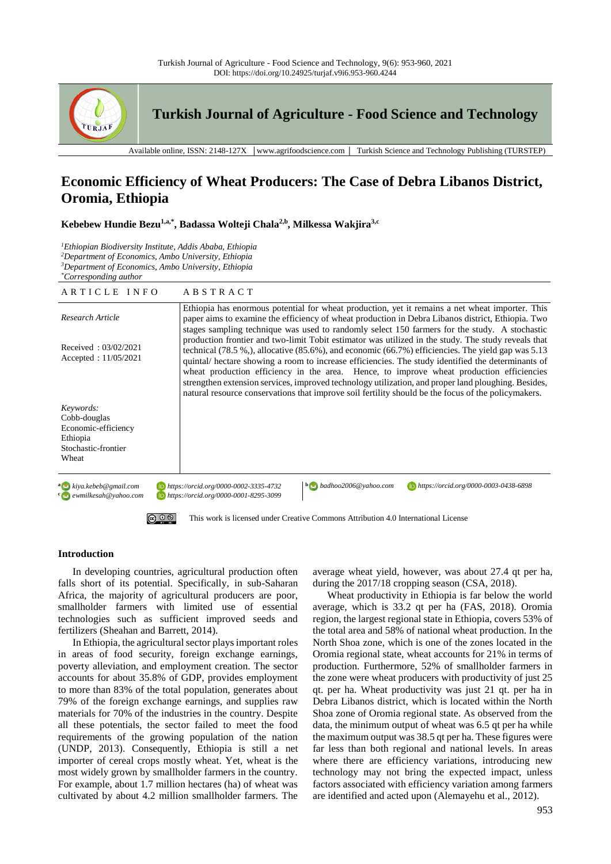

**Turkish Journal of Agriculture - Food Science and Technology**

Available online, ISSN: 2148-127X │www.agrifoodscience.com │ Turkish Science and Technology Publishing (TURSTEP)

# **Economic Efficiency of Wheat Producers: The Case of Debra Libanos District, Oromia, Ethiopia**

**Kebebew Hundie Bezu1,a,\* , Badassa Wolteji Chala2,b , Milkessa Wakjira3,c**

*Ethiopian Biodiversity Institute, Addis Ababa, Ethiopia Department of Economics, Ambo University, Ethiopia Department of Economics, Ambo University, Ethiopia \*Corresponding author*

| ARTICLE INFO                                                                                 | ABSTRACT                                                                                                                                                                                                                                                                                                                                                                                                                                                                                                                                                                                                                           |
|----------------------------------------------------------------------------------------------|------------------------------------------------------------------------------------------------------------------------------------------------------------------------------------------------------------------------------------------------------------------------------------------------------------------------------------------------------------------------------------------------------------------------------------------------------------------------------------------------------------------------------------------------------------------------------------------------------------------------------------|
| Research Article                                                                             | Ethiopia has enormous potential for wheat production, yet it remains a net wheat importer. This<br>paper aims to examine the efficiency of wheat production in Debra Libanos district, Ethiopia. Two<br>stages sampling technique was used to randomly select 150 farmers for the study. A stochastic                                                                                                                                                                                                                                                                                                                              |
| Received: $03/02/2021$<br>Accepted : $11/05/2021$                                            | production frontier and two-limit Tobit estimator was utilized in the study. The study reveals that<br>technical $(78.5\%,)$ , allocative $(85.6\%,)$ and economic $(66.7\%)$ efficiencies. The yield gap was 5.13<br>quintal/ hectare showing a room to increase efficiencies. The study identified the determinants of<br>wheat production efficiency in the area. Hence, to improve wheat production efficiencies<br>strengthen extension services, improved technology utilization, and proper land ploughing. Besides,<br>natural resource conservations that improve soil fertility should be the focus of the policymakers. |
| Keywords:<br>Cobb-douglas<br>Economic-efficiency<br>Ethiopia<br>Stochastic-frontier<br>Wheat |                                                                                                                                                                                                                                                                                                                                                                                                                                                                                                                                                                                                                                    |
| <sup>a</sup> kiya.kebeb@gmail.com<br>e ewmilkesah@yahoo.com                                  | $\mathbf{b}$ badhoo2006@yahoo.com<br>https://orcid.org/0000-0003-0438-6898<br>https://orcid.org/0000-0002-3335-4732<br>https://orcid.org/0000-0001-8295-3099                                                                                                                                                                                                                                                                                                                                                                                                                                                                       |
| $\circledcirc$ $\circledcirc$                                                                | This work is licensed under Creative Commons Attribution 4.0 International License                                                                                                                                                                                                                                                                                                                                                                                                                                                                                                                                                 |

# **Introduction**

In developing countries, agricultural production often falls short of its potential. Specifically, in sub-Saharan Africa, the majority of agricultural producers are poor, smallholder farmers with limited use of essential technologies such as sufficient improved seeds and fertilizers (Sheahan and Barrett, 2014).

In Ethiopia, the agricultural sector plays important roles in areas of food security, foreign exchange earnings, poverty alleviation, and employment creation. The sector accounts for about 35.8% of GDP, provides employment to more than 83% of the total population, generates about 79% of the foreign exchange earnings, and supplies raw materials for 70% of the industries in the country. Despite all these potentials, the sector failed to meet the food requirements of the growing population of the nation (UNDP, 2013). Consequently, Ethiopia is still a net importer of cereal crops mostly wheat. Yet, wheat is the most widely grown by smallholder farmers in the country. For example, about 1.7 million hectares (ha) of wheat was cultivated by about 4.2 million smallholder farmers. The average wheat yield, however, was about 27.4 qt per ha, during the 2017/18 cropping season (CSA, 2018).

Wheat productivity in Ethiopia is far below the world average, which is 33.2 qt per ha (FAS, 2018). Oromia region, the largest regional state in Ethiopia, covers 53% of the total area and 58% of national wheat production. In the North Shoa zone, which is one of the zones located in the Oromia regional state, wheat accounts for 21% in terms of production. Furthermore, 52% of smallholder farmers in the zone were wheat producers with productivity of just 25 qt. per ha. Wheat productivity was just 21 qt. per ha in Debra Libanos district, which is located within the North Shoa zone of Oromia regional state. As observed from the data, the minimum output of wheat was 6.5 qt per ha while the maximum output was 38.5 qt per ha. These figures were far less than both regional and national levels. In areas where there are efficiency variations, introducing new technology may not bring the expected impact, unless factors associated with efficiency variation among farmers are identified and acted upon (Alemayehu et al., 2012).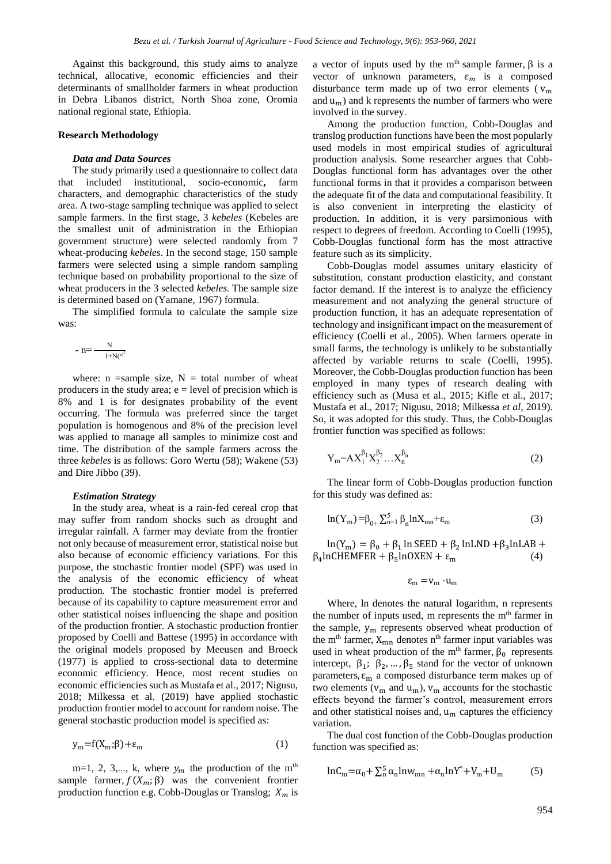Against this background, this study aims to analyze technical, allocative, economic efficiencies and their determinants of smallholder farmers in wheat production in Debra Libanos district, North Shoa zone, Oromia national regional state, Ethiopia.

## **Research Methodology**

#### *Data and Data Sources*

The study primarily used a questionnaire to collect data that included institutional, socio-economic**,** farm characters, and demographic characteristics of the study area. A two-stage sampling technique was applied to select sample farmers. In the first stage, 3 *kebeles* (Kebeles are the smallest unit of administration in the Ethiopian government structure) were selected randomly from 7 wheat-producing *kebeles*. In the second stage, 150 sample farmers were selected using a simple random sampling technique based on probability proportional to the size of wheat producers in the 3 selected *kebeles.* The sample size is determined based on (Yamane, 1967) formula.

The simplified formula to calculate the sample size was:

- 
$$
n = \frac{N}{1 + N(e)^2}
$$

where:  $n = sample size$ ,  $N = total number of wheat$ producers in the study area;  $e = level$  of precision which is 8% and 1 is for designates probability of the event occurring. The formula was preferred since the target population is homogenous and 8% of the precision level was applied to manage all samples to minimize cost and time. The distribution of the sample farmers across the three *kebeles* is as follows: Goro Wertu (58); Wakene (53) and Dire Jibbo (39).

#### *Estimation Strategy*

In the study area, wheat is a rain-fed cereal crop that may suffer from random shocks such as drought and irregular rainfall. A farmer may deviate from the frontier not only because of measurement error, statistical noise but also because of economic efficiency variations. For this purpose, the stochastic frontier model (SPF) was used in the analysis of the economic efficiency of wheat production. The stochastic frontier model is preferred because of its capability to capture measurement error and other statistical noises influencing the shape and position of the production frontier. A stochastic production frontier proposed by Coelli and Battese (1995) in accordance with the original models proposed by Meeusen and Broeck (1977) is applied to cross-sectional data to determine economic efficiency. Hence, most recent studies on economic efficiencies such as Mustafa et al., 2017; Nigusu, 2018; Milkessa et al. (2019) have applied stochastic production frontier model to account for random noise. The general stochastic production model is specified as:

$$
y_m = f(X_m; \beta) + \varepsilon_m \tag{1}
$$

m=1, 2, 3,..., k, where  $y_m$  the production of the m<sup>th</sup> sample farmer,  $f(X_m; \beta)$  was the convenient frontier production function e.g. Cobb-Douglas or Translog;  $X_m$  is

a vector of inputs used by the m<sup>th</sup> sample farmer,  $\beta$  is a vector of unknown parameters,  $\varepsilon_m$  is a composed disturbance term made up of two error elements ( $v_m$ ) and  $u_m$ ) and k represents the number of farmers who were involved in the survey.

Among the production function, Cobb-Douglas and translog production functions have been the most popularly used models in most empirical studies of agricultural production analysis. Some researcher argues that Cobb-Douglas functional form has advantages over the other functional forms in that it provides a comparison between the adequate fit of the data and computational feasibility. It is also convenient in interpreting the elasticity of production. In addition, it is very parsimonious with respect to degrees of freedom. According to Coelli (1995), Cobb-Douglas functional form has the most attractive feature such as its simplicity.

Cobb-Douglas model assumes unitary elasticity of substitution, constant production elasticity, and constant factor demand. If the interest is to analyze the efficiency measurement and not analyzing the general structure of production function, it has an adequate representation of technology and insignificant impact on the measurement of efficiency (Coelli et al., 2005). When farmers operate in small farms, the technology is unlikely to be substantially affected by variable returns to scale (Coelli, 1995). Moreover, the Cobb-Douglas production function has been employed in many types of research dealing with efficiency such as (Musa et al., 2015; Kifle et al., 2017; Mustafa et al., 2017; Nigusu, 2018; Milkessa *et al*, 2019). So, it was adopted for this study. Thus, the Cobb-Douglas frontier function was specified as follows:

$$
Y_{m} = AX_{1}^{\beta_{1}}X_{2}^{\beta_{2}}...X_{n}^{\beta_{n}}
$$
 (2)

The linear form of Cobb-Douglas production function for this study was defined as:

$$
\ln(Y_m) = \beta_{0+} \sum_{n=1}^{5} \beta_n \ln X_{mn} + \varepsilon_m \tag{3}
$$

 $ln(Y_m) = \beta_0 + \beta_1 ln$  SEED +  $\beta_2 ln LND + \beta_3 lnLAB$  +  $β<sub>4</sub>lnCHEMENTER + β<sub>5</sub>lnOXEN + ε<sub>m</sub>$  (4)

$$
\epsilon_m = v_m \cdot u_m
$$

Where, ln denotes the natural logarithm, n represents the number of inputs used, m represents the  $m<sup>th</sup>$  farmer in the sample,  $y_m$  represents observed wheat production of the m<sup>th</sup> farmer,  $X_{mn}$  denotes n<sup>th</sup> farmer input variables was used in wheat production of the m<sup>th</sup> farmer,  $\beta_0$  represents intercept,  $\beta_1$ ;  $\beta_2$ , ...,  $\beta_5$  stand for the vector of unknown parameters,  $\varepsilon_m$  a composed disturbance term makes up of two elements ( $v_m$  and  $u_m$ ),  $v_m$  accounts for the stochastic effects beyond the farmer's control, measurement errors and other statistical noises and,  $u_m$  captures the efficiency variation.

The dual cost function of the Cobb-Douglas production function was specified as:

$$
lnC_m = \alpha_0 + \sum_{n=1}^{5} \alpha_n lnw_{mn} + \alpha_n lnY^* + V_m + U_m \tag{5}
$$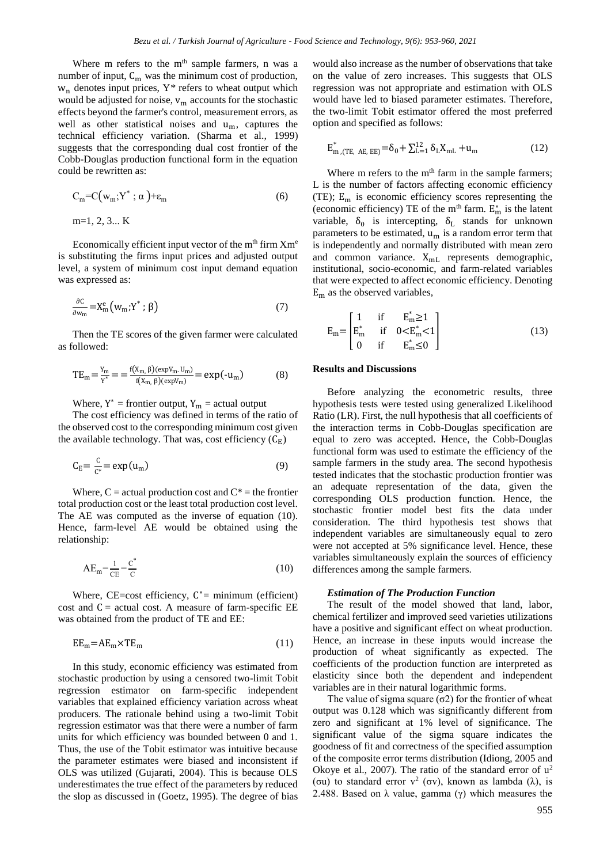Where m refers to the m<sup>th</sup> sample farmers, n was a number of input,  $C_m$  was the minimum cost of production, w<sup>n</sup> denotes input prices, Y*\** refers to wheat output which would be adjusted for noise,  $v_m$  accounts for the stochastic effects beyond the farmer's control, measurement errors, as well as other statistical noises and  $u_m$ , captures the technical efficiency variation. (Sharma et al.*,* 1999) suggests that the corresponding dual cost frontier of the Cobb-Douglas production functional form in the equation could be rewritten as:

$$
C_m = C(w_m; Y^*; \alpha) + \varepsilon_m \tag{6}
$$

m=1, 2, 3... K

Economically efficient input vector of the  $m<sup>th</sup>$  firm  $Xm<sup>e</sup>$ is substituting the firms input prices and adjusted output level, a system of minimum cost input demand equation was expressed as:

$$
\frac{\partial C}{\partial w_m} = X_m^e \left( w_m; Y^* ; \beta \right) \tag{7}
$$

Then the TE scores of the given farmer were calculated as followed:

$$
TE_{m} = \frac{Y_{m}}{Y^{*}} = \frac{f(X_{m}, \beta)(\exp V_{m}.U_{m})}{f(X_{m}, \beta)(\exp V_{m})} = \exp(-u_{m})
$$
(8)

Where,  $Y^*$  = frontier output,  $Y_m$  = actual output

The cost efficiency was defined in terms of the ratio of the observed cost to the corresponding minimum cost given the available technology. That was, cost efficiency  $(C_F)$ 

$$
C_E = \frac{C}{c^*} = \exp(u_m) \tag{9}
$$

Where,  $C =$  actual production cost and  $C^* =$  the frontier total production cost or the least total production cost level. The AE was computed as the inverse of equation (10). Hence, farm-level AE would be obtained using the relationship:

$$
AE_m = \frac{1}{CE} = \frac{C^*}{C}
$$
\n<sup>(10)</sup>

Where,  $CE = cost$  efficiency,  $C^* = minimum$  (efficient) cost and  $C =$  actual cost. A measure of farm-specific EE was obtained from the product of TE and EE:

$$
EE_m = AE_m \times TE_m \tag{11}
$$

In this study, economic efficiency was estimated from stochastic production by using a censored two-limit Tobit regression estimator on farm-specific independent variables that explained efficiency variation across wheat producers. The rationale behind using a two-limit Tobit regression estimator was that there were a number of farm units for which efficiency was bounded between 0 and 1. Thus, the use of the Tobit estimator was intuitive because the parameter estimates were biased and inconsistent if OLS was utilized (Gujarati, 2004). This is because OLS underestimates the true effect of the parameters by reduced the slop as discussed in (Goetz, 1995). The degree of bias

would also increase as the number of observations that take on the value of zero increases. This suggests that OLS regression was not appropriate and estimation with OLS would have led to biased parameter estimates. Therefore, the two-limit Tobit estimator offered the most preferred option and specified as follows:

$$
E_{m,(TE, AE, EE)}^{*} = \delta_0 + \sum_{L=1}^{12} \delta_L X_{mL} + u_m
$$
 (12)

Where m refers to the  $m<sup>th</sup>$  farm in the sample farmers; L is the number of factors affecting economic efficiency (TE); E<sup>m</sup> is economic efficiency scores representing the (economic efficiency) TE of the m<sup>th</sup> farm.  $E_m^*$  is the latent variable,  $\delta_0$  is intercepting,  $\delta_L$  stands for unknown parameters to be estimated,  $u_m$  is a random error term that is independently and normally distributed with mean zero and common variance.  $X_{mL}$  represents demographic, institutional, socio-economic, and farm-related variables that were expected to affect economic efficiency. Denoting  $E<sub>m</sub>$  as the observed variables,

$$
E_{m} = \begin{bmatrix} 1 & \text{if} & E_{m}^{*} \ge 1 \\ E_{m}^{*} & \text{if} & 0 < E_{m}^{*} < 1 \\ 0 & \text{if} & E_{m}^{*} \le 0 \end{bmatrix}
$$
(13)

## **Results and Discussions**

Before analyzing the econometric results, three hypothesis tests were tested using generalized Likelihood Ratio (LR). First, the null hypothesis that all coefficients of the interaction terms in Cobb-Douglas specification are equal to zero was accepted. Hence, the Cobb-Douglas functional form was used to estimate the efficiency of the sample farmers in the study area. The second hypothesis tested indicates that the stochastic production frontier was an adequate representation of the data, given the corresponding OLS production function. Hence, the stochastic frontier model best fits the data under consideration. The third hypothesis test shows that independent variables are simultaneously equal to zero were not accepted at 5% significance level. Hence, these variables simultaneously explain the sources of efficiency differences among the sample farmers.

## *Estimation of The Production Function*

The result of the model showed that land, labor, chemical fertilizer and improved seed varieties utilizations have a positive and significant effect on wheat production. Hence, an increase in these inputs would increase the production of wheat significantly as expected. The coefficients of the production function are interpreted as elasticity since both the dependent and independent variables are in their natural logarithmic forms.

The value of sigma square  $(\sigma 2)$  for the frontier of wheat output was 0.128 which was significantly different from zero and significant at 1% level of significance. The significant value of the sigma square indicates the goodness of fit and correctness of the specified assumption of the composite error terms distribution (Idiong, 2005 and Okoye et al., 2007). The ratio of the standard error of  $u^2$ (σu) to standard error  $v^2$  (σv), known as lambda (λ), is 2.488. Based on λ value, gamma (γ) which measures the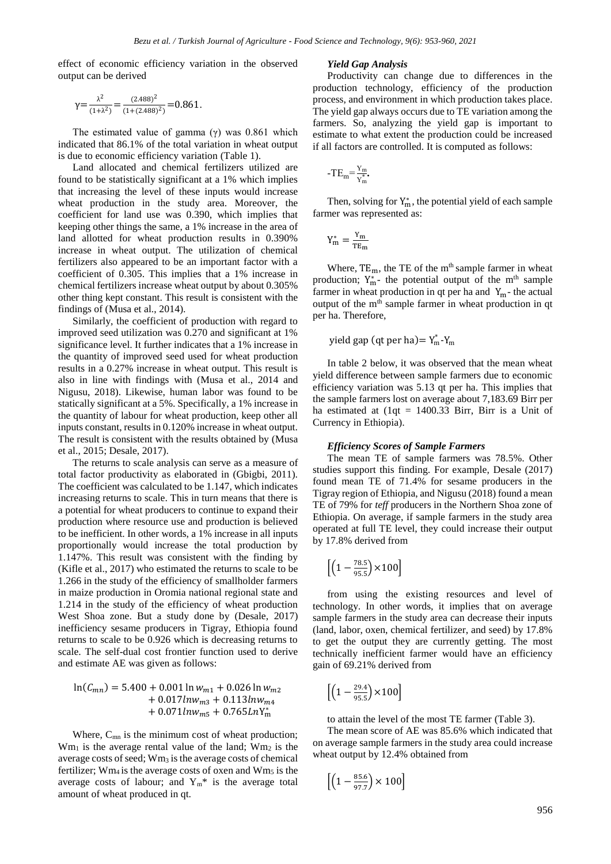effect of economic efficiency variation in the observed output can be derived

$$
\gamma = \frac{\lambda^2}{(1+\lambda^2)} = \frac{(2.488)^2}{(1+(2.488)^2)} = 0.861.
$$

The estimated value of gamma  $(\gamma)$  was 0.861 which indicated that 86.1% of the total variation in wheat output is due to economic efficiency variation (Table 1).

Land allocated and chemical fertilizers utilized are found to be statistically significant at a 1% which implies that increasing the level of these inputs would increase wheat production in the study area. Moreover, the coefficient for land use was 0.390, which implies that keeping other things the same, a 1% increase in the area of land allotted for wheat production results in 0.390% increase in wheat output. The utilization of chemical fertilizers also appeared to be an important factor with a coefficient of 0.305. This implies that a 1% increase in chemical fertilizers increase wheat output by about 0.305% other thing kept constant. This result is consistent with the findings of (Musa et al., 2014).

Similarly, the coefficient of production with regard to improved seed utilization was 0.270 and significant at 1% significance level. It further indicates that a 1% increase in the quantity of improved seed used for wheat production results in a 0.27% increase in wheat output. This result is also in line with findings with (Musa et al., 2014 and Nigusu, 2018). Likewise, human labor was found to be statically significant at a 5%. Specifically, a 1% increase in the quantity of labour for wheat production, keep other all inputs constant, results in 0.120% increase in wheat output. The result is consistent with the results obtained by (Musa et al., 2015; Desale, 2017).

The returns to scale analysis can serve as a measure of total factor productivity as elaborated in (Gbigbi, 2011). The coefficient was calculated to be 1.147, which indicates increasing returns to scale. This in turn means that there is a potential for wheat producers to continue to expand their production where resource use and production is believed to be inefficient. In other words, a 1% increase in all inputs proportionally would increase the total production by 1.147%. This result was consistent with the finding by (Kifle et al., 2017) who estimated the returns to scale to be 1.266 in the study of the efficiency of smallholder farmers in maize production in Oromia national regional state and 1.214 in the study of the efficiency of wheat production West Shoa zone. But a study done by (Desale, 2017) inefficiency sesame producers in Tigray, Ethiopia found returns to scale to be 0.926 which is decreasing returns to scale. The self-dual cost frontier function used to derive and estimate AE was given as follows:

$$
\ln(C_{mn}) = 5.400 + 0.001 \ln w_{m1} + 0.026 \ln w_{m2} + 0.017 \ln w_{m3} + 0.113 \ln w_{m4} + 0.071 \ln w_{m5} + 0.765 \ln Y_{m}^{*}
$$

Where,  $C_{mn}$  is the minimum cost of wheat production;  $Wm<sub>1</sub>$  is the average rental value of the land;  $Wm<sub>2</sub>$  is the average costs of seed; Wm<sup>3</sup> is the average costs of chemical fertilizer;  $Wm<sub>4</sub>$  is the average costs of oxen and  $Wm<sub>5</sub>$  is the average costs of labour; and  $Y_m^*$  is the average total amount of wheat produced in qt.

#### *Yield Gap Analysis*

Productivity can change due to differences in the production technology, efficiency of the production process, and environment in which production takes place. The yield gap always occurs due to TE variation among the farmers. So, analyzing the yield gap is important to estimate to what extent the production could be increased if all factors are controlled. It is computed as follows:

$$
-TE_m{=}\frac{Y_m}{Y_m^*} \!\!\! .
$$

Then, solving for  $Y_m^*$ , the potential yield of each sample farmer was represented as:

$$
Y_m^*=\frac{Y_m}{\text{TE}_m}
$$

Where,  $TE_m$ , the TE of the m<sup>th</sup> sample farmer in wheat production;  $Y_{m}^{*}$ - the potential output of the m<sup>th</sup> sample farmer in wheat production in qt per ha and  $Y_m$ - the actual output of the m<sup>th</sup> sample farmer in wheat production in qt per ha. Therefore,

yield gap (qt per ha)= 
$$
Y_m^*Y_m
$$

In table 2 below, it was observed that the mean wheat yield difference between sample farmers due to economic efficiency variation was 5.13 qt per ha. This implies that the sample farmers lost on average about 7,183.69 Birr per ha estimated at  $(1qt = 1400.33$  Birr, Birr is a Unit of Currency in Ethiopia).

#### *Efficiency Scores of Sample Farmers*

The mean TE of sample farmers was 78.5%. Other studies support this finding. For example, Desale (2017) found mean TE of 71.4% for sesame producers in the Tigray region of Ethiopia, and Nigusu (2018) found a mean TE of 79% for *teff* producers in the Northern Shoa zone of Ethiopia. On average, if sample farmers in the study area operated at full TE level, they could increase their output by 17.8% derived from

$$
\left[\left(1-\frac{78.5}{95.5}\right)\times100\right]
$$

from using the existing resources and level of technology. In other words, it implies that on average sample farmers in the study area can decrease their inputs (land, labor, oxen, chemical fertilizer, and seed) by 17.8% to get the output they are currently getting. The most technically inefficient farmer would have an efficiency gain of 69.21% derived from

$$
\left[\left(1-\tfrac{29.4}{95.5}\right)\times100\right]
$$

to attain the level of the most TE farmer (Table 3).

The mean score of AE was 85.6% which indicated that on average sample farmers in the study area could increase wheat output by 12.4% obtained from

$$
\left[\left(1 - \frac{85.6}{97.7}\right) \times 100\right]
$$

956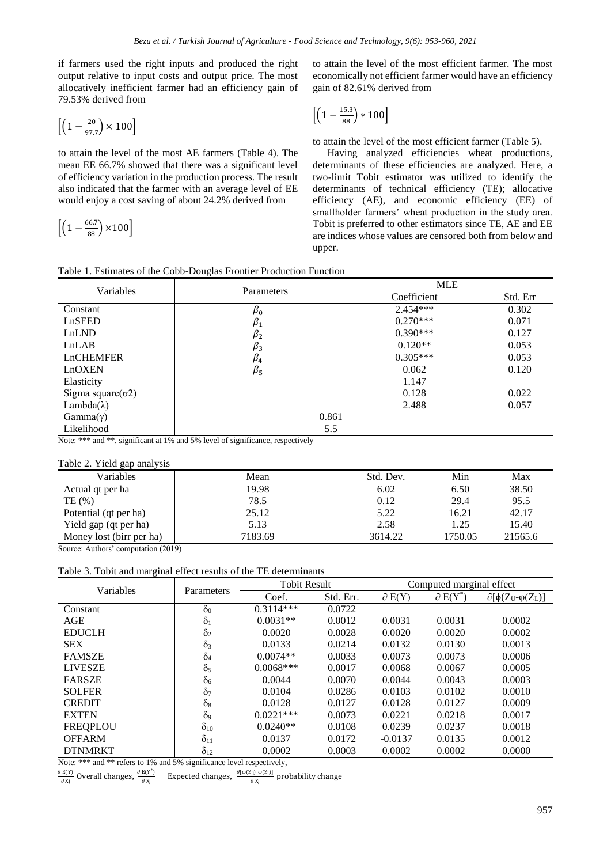if farmers used the right inputs and produced the right output relative to input costs and output price. The most allocatively inefficient farmer had an efficiency gain of 79.53% derived from

$$
\left[\left(1 - \frac{20}{97.7}\right) \times 100\right]
$$

to attain the level of the most AE farmers (Table 4). The mean EE 66.7% showed that there was a significant level of efficiency variation in the production process. The result also indicated that the farmer with an average level of EE would enjoy a cost saving of about 24.2% derived from

$$
\left[\left(1-\frac{66.7}{88}\right)\times100\right]
$$

to attain the level of the most efficient farmer. The most economically not efficient farmer would have an efficiency gain of 82.61% derived from

$$
\left[\left(1-\frac{15.3}{88}\right)*100\right]
$$

to attain the level of the most efficient farmer (Table 5).

Having analyzed efficiencies wheat productions, determinants of these efficiencies are analyzed. Here, a two-limit Tobit estimator was utilized to identify the determinants of technical efficiency (TE); allocative efficiency (AE), and economic efficiency (EE) of smallholder farmers' wheat production in the study area. Tobit is preferred to other estimators since TE, AE and EE are indices whose values are censored both from below and upper.

|  |  |  | Table 1. Estimates of the Cobb-Douglas Frontier Production Function |  |
|--|--|--|---------------------------------------------------------------------|--|
|  |  |  |                                                                     |  |

| Variables                 | Parameters  | <b>MLE</b>  |          |  |  |
|---------------------------|-------------|-------------|----------|--|--|
|                           |             | Coefficient | Std. Err |  |  |
| Constant                  | $\beta_0$   | $2.454***$  | 0.302    |  |  |
| LnSEED                    | $\beta_1$   | $0.270***$  | 0.071    |  |  |
| LnLND                     | $\beta_2$   | $0.390***$  | 0.127    |  |  |
| LnLAB                     | $\beta_3$   | $0.120**$   | 0.053    |  |  |
| <b>LnCHEMFER</b>          | $\beta_4$   | $0.305***$  | 0.053    |  |  |
| LnOXEN                    | $\beta_{5}$ | 0.062       | 0.120    |  |  |
| Elasticity                |             | 1.147       |          |  |  |
| Sigma square $(\sigma 2)$ |             | 0.128       | 0.022    |  |  |
| Lambda( $\lambda$ )       |             | 2.488       | 0.057    |  |  |
| $Gamma(\gamma)$           | 0.861       |             |          |  |  |
| Likelihood                | 5.5         |             |          |  |  |

Note: \*\*\* and \*\*, significant at 1% and 5% level of significance, respectively

#### Table 2. Yield gap analysis

| Variables                | Mean    | Std. Dev. | Min     | Max     |
|--------------------------|---------|-----------|---------|---------|
| Actual qt per ha         | 19.98   | 6.02      | 6.50    | 38.50   |
| TE(%)                    | 78.5    | 0.12      | 29.4    | 95.5    |
| Potential (qt per ha)    | 25.12   | 5.22      | 16.21   | 42.17   |
| Yield gap (qt per ha)    | 5.13    | 2.58      | 1.25    | 15.40   |
| Money lost (birr per ha) | 7183.69 | 3614.22   | 1750.05 | 21565.6 |

Source: Authors' computation (2019)

Table 3. Tobit and marginal effect results of the TE determinants

| Variables       | Parameters            | <b>Tobit Result</b> |           | Computed marginal effect |                               |                                      |  |
|-----------------|-----------------------|---------------------|-----------|--------------------------|-------------------------------|--------------------------------------|--|
|                 |                       | Coef.               | Std. Err. | $\partial E(Y)$          | $\partial$ E(Y <sup>*</sup> ) | $\partial[\phi(Z_U \cdot \phi(Z_L)]$ |  |
| Constant        | $\delta_0$            | $0.3114***$         | 0.0722    |                          |                               |                                      |  |
| AGE             | $\delta_1$            | $0.0031**$          | 0.0012    | 0.0031                   | 0.0031                        | 0.0002                               |  |
| <b>EDUCLH</b>   | $\delta_2$            | 0.0020              | 0.0028    | 0.0020                   | 0.0020                        | 0.0002                               |  |
| <b>SEX</b>      | $\delta_3$            | 0.0133              | 0.0214    | 0.0132                   | 0.0130                        | 0.0013                               |  |
| <b>FAMSZE</b>   | $\delta_4$            | $0.0074**$          | 0.0033    | 0.0073                   | 0.0073                        | 0.0006                               |  |
| <b>LIVESZE</b>  | $\delta_5$            | $0.0068***$         | 0.0017    | 0.0068                   | 0.0067                        | 0.0005                               |  |
| <b>FARSZE</b>   | $\delta_6$            | 0.0044              | 0.0070    | 0.0044                   | 0.0043                        | 0.0003                               |  |
| <b>SOLFER</b>   | $\delta$ <sub>7</sub> | 0.0104              | 0.0286    | 0.0103                   | 0.0102                        | 0.0010                               |  |
| <b>CREDIT</b>   | $\delta_8$            | 0.0128              | 0.0127    | 0.0128                   | 0.0127                        | 0.0009                               |  |
| <b>EXTEN</b>    | $\delta$ <sup>9</sup> | $0.0221***$         | 0.0073    | 0.0221                   | 0.0218                        | 0.0017                               |  |
| <b>FREQPLOU</b> | $\delta_{10}$         | $0.0240**$          | 0.0108    | 0.0239                   | 0.0237                        | 0.0018                               |  |
| <b>OFFARM</b>   | $\delta_{11}$         | 0.0137              | 0.0172    | $-0.0137$                | 0.0135                        | 0.0012                               |  |
| <b>DTNMRKT</b>  | $\delta_{12}$         | 0.0002              | 0.0003    | 0.0002                   | 0.0002                        | 0.0000                               |  |

Note: \*\*\* and \*\* refers to 1% and 5% significance level respectively,

 $\partial E(Y)$  $rac{E(Y)}{\partial X_j}$  Overall changes,  $rac{\partial E(Y^*)}{\partial X_j}$  $\frac{E(Y^{\dagger})}{\partial X_j}$  Expected changes,  $\frac{\partial [\phi(Z_U) - \phi(Z_L)]}{\partial X_j}$  $\frac{\partial \mathbf{y}_i}{\partial \mathbf{X}_j}$  probability change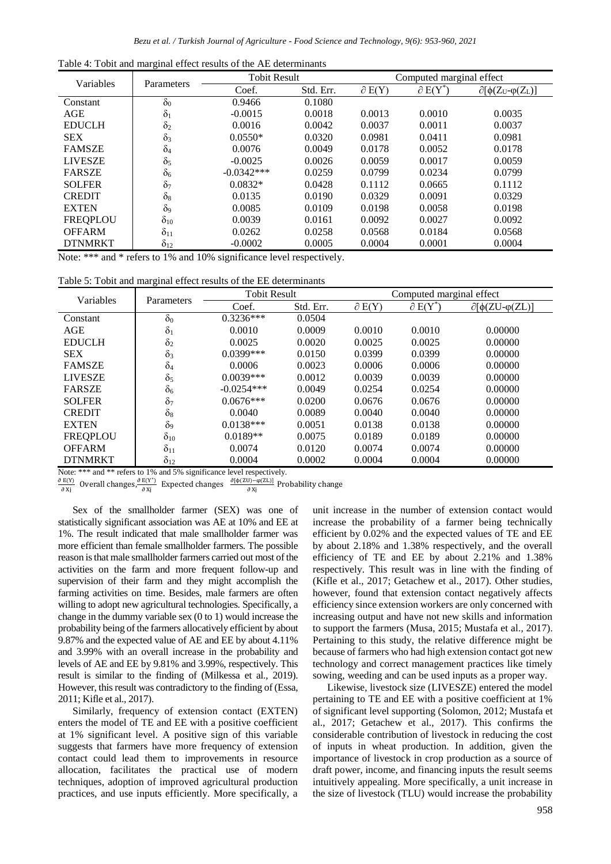|  |  | Table 4: Tobit and marginal effect results of the AE determinants |  |  |  |
|--|--|-------------------------------------------------------------------|--|--|--|
|  |  |                                                                   |  |  |  |

| Variables       | Parameters    | <b>Tobit Result</b> | Computed marginal effect |                 |                               |                                         |
|-----------------|---------------|---------------------|--------------------------|-----------------|-------------------------------|-----------------------------------------|
|                 |               | Coef.               | Std. Err.                | $\partial E(Y)$ | $\partial$ E(Y <sup>*</sup> ) | $\partial[\phi(Z_U \text{-} \phi(Z_L)]$ |
| Constant        | $\delta_0$    | 0.9466              | 0.1080                   |                 |                               |                                         |
| AGE             | $\delta_1$    | $-0.0015$           | 0.0018                   | 0.0013          | 0.0010                        | 0.0035                                  |
| <b>EDUCLH</b>   | $\delta_2$    | 0.0016              | 0.0042                   | 0.0037          | 0.0011                        | 0.0037                                  |
| <b>SEX</b>      | $\delta_3$    | $0.0550*$           | 0.0320                   | 0.0981          | 0.0411                        | 0.0981                                  |
| <b>FAMSZE</b>   | $\delta_4$    | 0.0076              | 0.0049                   | 0.0178          | 0.0052                        | 0.0178                                  |
| <b>LIVESZE</b>  | $\delta_5$    | $-0.0025$           | 0.0026                   | 0.0059          | 0.0017                        | 0.0059                                  |
| <b>FARSZE</b>   | $\delta_6$    | $-0.0342***$        | 0.0259                   | 0.0799          | 0.0234                        | 0.0799                                  |
| <b>SOLFER</b>   | $\delta_7$    | $0.0832*$           | 0.0428                   | 0.1112          | 0.0665                        | 0.1112                                  |
| <b>CREDIT</b>   | $\delta_8$    | 0.0135              | 0.0190                   | 0.0329          | 0.0091                        | 0.0329                                  |
| <b>EXTEN</b>    | $\delta_9$    | 0.0085              | 0.0109                   | 0.0198          | 0.0058                        | 0.0198                                  |
| <b>FREQPLOU</b> | $\delta_{10}$ | 0.0039              | 0.0161                   | 0.0092          | 0.0027                        | 0.0092                                  |
| <b>OFFARM</b>   | $\delta_{11}$ | 0.0262              | 0.0258                   | 0.0568          | 0.0184                        | 0.0568                                  |
| <b>DTNMRKT</b>  | $\delta_{12}$ | $-0.0002$           | 0.0005                   | 0.0004          | 0.0001                        | 0.0004                                  |

Note: \*\*\* and \* refers to 1% and 10% significance level respectively.

| Table 5: Tobit and marginal effect results of the EE determinants |  |  |  |  |  |
|-------------------------------------------------------------------|--|--|--|--|--|
|-------------------------------------------------------------------|--|--|--|--|--|

| Variables       | Parameters    | <b>Tobit Result</b> |           | Computed marginal effect |                               |                               |  |
|-----------------|---------------|---------------------|-----------|--------------------------|-------------------------------|-------------------------------|--|
|                 |               | Coef.               | Std. Err. | $\partial E(Y)$          | $\partial$ E(Y <sup>*</sup> ) | $\partial[\phi(ZU-\phi(ZL))]$ |  |
| Constant        | $\delta_0$    | $0.3236***$         | 0.0504    |                          |                               |                               |  |
| AGE             | $\delta_1$    | 0.0010              | 0.0009    | 0.0010                   | 0.0010                        | 0.00000                       |  |
| <b>EDUCLH</b>   | $\delta_2$    | 0.0025              | 0.0020    | 0.0025                   | 0.0025                        | 0.00000                       |  |
| <b>SEX</b>      | $\delta_3$    | $0.0399***$         | 0.0150    | 0.0399                   | 0.0399                        | 0.00000                       |  |
| <b>FAMSZE</b>   | $\delta_4$    | 0.0006              | 0.0023    | 0.0006                   | 0.0006                        | 0.00000                       |  |
| <b>LIVESZE</b>  | $\delta_5$    | $0.0039***$         | 0.0012    | 0.0039                   | 0.0039                        | 0.00000                       |  |
| <b>FARSZE</b>   | $\delta_6$    | $-0.0254***$        | 0.0049    | 0.0254                   | 0.0254                        | 0.00000                       |  |
| <b>SOLFER</b>   | $\delta_7$    | $0.0676***$         | 0.0200    | 0.0676                   | 0.0676                        | 0.00000                       |  |
| <b>CREDIT</b>   | $\delta_8$    | 0.0040              | 0.0089    | 0.0040                   | 0.0040                        | 0.00000                       |  |
| <b>EXTEN</b>    | $\delta$ 9    | $0.0138***$         | 0.0051    | 0.0138                   | 0.0138                        | 0.00000                       |  |
| <b>FREQPLOU</b> | $\delta_{10}$ | $0.0189**$          | 0.0075    | 0.0189                   | 0.0189                        | 0.00000                       |  |
| <b>OFFARM</b>   | $\delta_{11}$ | 0.0074              | 0.0120    | 0.0074                   | 0.0074                        | 0.00000                       |  |
| <b>DTNMRKT</b>  | $\delta_{12}$ | 0.0004              | 0.0002    | 0.0004                   | 0.0004                        | 0.00000                       |  |

Note: \*\*\* and \*\* refers to 1% and 5% significance level respectively.

 $\partial E(Y)$  $rac{E(Y)}{\partial X_j}$  Overall changes,  $rac{\partial E(Y^*)}{\partial X_j}$  $\frac{E(Y^*)}{\partial Xj}$  Expected changes  $\frac{\partial [\phi(ZU) - \phi(ZL)]}{\partial Xj}$  Probability change

Sex of the smallholder farmer (SEX) was one of statistically significant association was AE at 10% and EE at 1%. The result indicated that male smallholder farmer was more efficient than female smallholder farmers. The possible reason is that male smallholder farmers carried out most of the activities on the farm and more frequent follow-up and supervision of their farm and they might accomplish the farming activities on time. Besides, male farmers are often willing to adopt new agricultural technologies. Specifically, a change in the dummy variable sex (0 to 1) would increase the probability being of the farmers allocatively efficient by about 9.87% and the expected value of AE and EE by about 4.11% and 3.99% with an overall increase in the probability and levels of AE and EE by 9.81% and 3.99%, respectively. This result is similar to the finding of (Milkessa et al., 2019). However, this result was contradictory to the finding of (Essa, 2011; Kifle et al., 2017).

Similarly, frequency of extension contact (EXTEN) enters the model of TE and EE with a positive coefficient at 1% significant level. A positive sign of this variable suggests that farmers have more frequency of extension contact could lead them to improvements in resource allocation, facilitates the practical use of modern techniques, adoption of improved agricultural production practices, and use inputs efficiently. More specifically, a

unit increase in the number of extension contact would increase the probability of a farmer being technically efficient by 0.02% and the expected values of TE and EE by about 2.18% and 1.38% respectively, and the overall efficiency of TE and EE by about 2.21% and 1.38% respectively. This result was in line with the finding of (Kifle et al., 2017; Getachew et al., 2017). Other studies, however, found that extension contact negatively affects efficiency since extension workers are only concerned with increasing output and have not new skills and information to support the farmers (Musa, 2015; Mustafa et al., 2017). Pertaining to this study, the relative difference might be because of farmers who had high extension contact got new technology and correct management practices like timely sowing, weeding and can be used inputs as a proper way.

Likewise, livestock size (LIVESZE) entered the model pertaining to TE and EE with a positive coefficient at 1% of significant level supporting (Solomon, 2012; Mustafa et al., 2017; Getachew et al., 2017). This confirms the considerable contribution of livestock in reducing the cost of inputs in wheat production. In addition, given the importance of livestock in crop production as a source of draft power, income, and financing inputs the result seems intuitively appealing. More specifically, a unit increase in the size of livestock (TLU) would increase the probability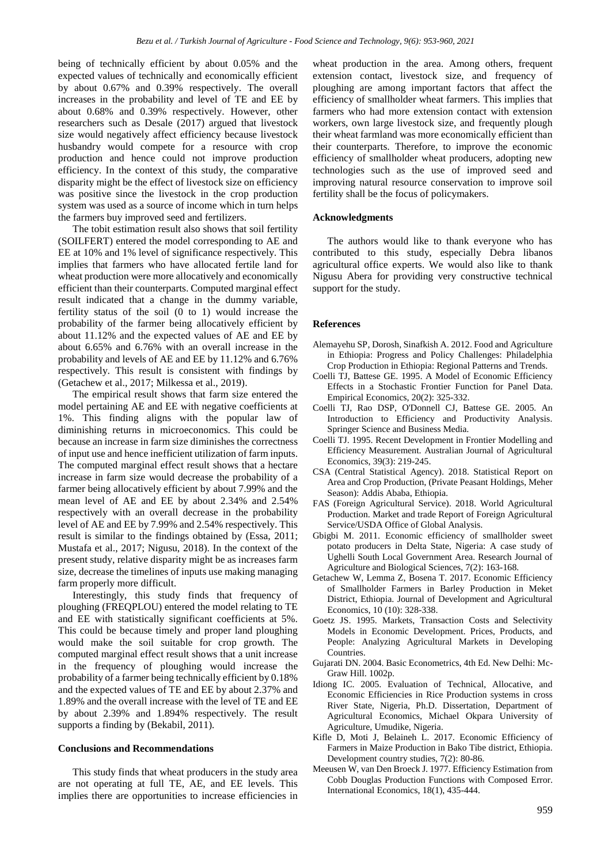being of technically efficient by about 0.05% and the expected values of technically and economically efficient by about 0.67% and 0.39% respectively. The overall increases in the probability and level of TE and EE by about 0.68% and 0.39% respectively. However, other researchers such as Desale (2017) argued that livestock size would negatively affect efficiency because livestock husbandry would compete for a resource with crop production and hence could not improve production efficiency. In the context of this study, the comparative disparity might be the effect of livestock size on efficiency was positive since the livestock in the crop production system was used as a source of income which in turn helps the farmers buy improved seed and fertilizers.

The tobit estimation result also shows that soil fertility (SOILFERT) entered the model corresponding to AE and EE at 10% and 1% level of significance respectively. This implies that farmers who have allocated fertile land for wheat production were more allocatively and economically efficient than their counterparts. Computed marginal effect result indicated that a change in the dummy variable, fertility status of the soil (0 to 1) would increase the probability of the farmer being allocatively efficient by about 11.12% and the expected values of AE and EE by about 6.65% and 6.76% with an overall increase in the probability and levels of AE and EE by 11.12% and 6.76% respectively. This result is consistent with findings by (Getachew et al., 2017; Milkessa et al., 2019).

The empirical result shows that farm size entered the model pertaining AE and EE with negative coefficients at 1%. This finding aligns with the popular law of diminishing returns in microeconomics. This could be because an increase in farm size diminishes the correctness of input use and hence inefficient utilization of farm inputs. The computed marginal effect result shows that a hectare increase in farm size would decrease the probability of a farmer being allocatively efficient by about 7.99% and the mean level of AE and EE by about 2.34% and 2.54% respectively with an overall decrease in the probability level of AE and EE by 7.99% and 2.54% respectively. This result is similar to the findings obtained by (Essa, 2011; Mustafa et al., 2017; Nigusu, 2018). In the context of the present study, relative disparity might be as increases farm size, decrease the timelines of inputs use making managing farm properly more difficult.

Interestingly, this study finds that frequency of ploughing (FREQPLOU) entered the model relating to TE and EE with statistically significant coefficients at 5%. This could be because timely and proper land ploughing would make the soil suitable for crop growth. The computed marginal effect result shows that a unit increase in the frequency of ploughing would increase the probability of a farmer being technically efficient by 0.18% and the expected values of TE and EE by about 2.37% and 1.89% and the overall increase with the level of TE and EE by about 2.39% and 1.894% respectively. The result supports a finding by (Bekabil, 2011)*.*

## **Conclusions and Recommendations**

This study finds that wheat producers in the study area are not operating at full TE, AE, and EE levels. This implies there are opportunities to increase efficiencies in

wheat production in the area. Among others, frequent extension contact, livestock size, and frequency of ploughing are among important factors that affect the efficiency of smallholder wheat farmers. This implies that farmers who had more extension contact with extension workers, own large livestock size, and frequently plough their wheat farmland was more economically efficient than their counterparts. Therefore, to improve the economic efficiency of smallholder wheat producers, adopting new technologies such as the use of improved seed and improving natural resource conservation to improve soil fertility shall be the focus of policymakers.

## **Acknowledgments**

The authors would like to thank everyone who has contributed to this study, especially Debra libanos agricultural office experts. We would also like to thank Nigusu Abera for providing very constructive technical support for the study.

#### **References**

- Alemayehu SP, Dorosh, Sinafkish A. 2012. Food and Agriculture in Ethiopia: Progress and Policy Challenges: Philadelphia Crop Production in Ethiopia: Regional Patterns and Trends.
- Coelli TJ, Battese GE. 1995. A Model of Economic Efficiency Effects in a Stochastic Frontier Function for Panel Data. Empirical Economics, 20(2): 325-332.
- Coelli TJ, Rao DSP, O'Donnell CJ, Battese GE. 2005. An Introduction to Efficiency and Productivity Analysis. Springer Science and Business Media.
- Coelli TJ. 1995. Recent Development in Frontier Modelling and Efficiency Measurement. Australian Journal of Agricultural Economics, 39(3): 219-245.
- CSA (Central Statistical Agency). 2018. Statistical Report on Area and Crop Production, (Private Peasant Holdings, Meher Season): Addis Ababa, Ethiopia.
- FAS (Foreign Agricultural Service). 2018. World Agricultural Production. Market and trade Report of Foreign Agricultural Service/USDA Office of Global Analysis.
- Gbigbi M. 2011. Economic efficiency of smallholder sweet potato producers in Delta State, Nigeria: A case study of Ughelli South Local Government Area. Research Journal of Agriculture and Biological Sciences, 7(2): 163-168.
- Getachew W, Lemma Z, Bosena T. 2017. Economic Efficiency of Smallholder Farmers in Barley Production in Meket District, Ethiopia. Journal of Development and Agricultural Economics, 10 (10): 328-338.
- Goetz JS. 1995. Markets, Transaction Costs and Selectivity Models in Economic Development. Prices, Products, and People: Analyzing Agricultural Markets in Developing Countries.
- Gujarati DN. 2004. Basic Econometrics, 4th Ed. New Delhi: Mc-Graw Hill. 1002p.
- Idiong IC. 2005. Evaluation of Technical, Allocative, and Economic Efficiencies in Rice Production systems in cross River State, Nigeria, Ph.D. Dissertation, Department of Agricultural Economics, Michael Okpara University of Agriculture, Umudike, Nigeria.
- Kifle D, Moti J, Belaineh L. 2017. Economic Efficiency of Farmers in Maize Production in Bako Tibe district, Ethiopia. Development country studies, 7(2): 80-86.
- Meeusen W, van Den Broeck J. 1977. Efficiency Estimation from Cobb Douglas Production Functions with Composed Error. International Economics, 18(1), 435-444.